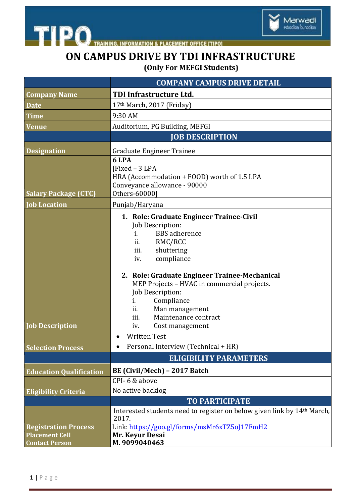

TRAINING, INFORMATION & PLACEMENT OFFICE [TIPO]



**ON CAMPUS DRIVE BY TDI INFRASTRUCTURE (Only For MEFGI Students)**

|                                                    | <b>COMPANY CAMPUS DRIVE DETAIL</b>                                                                                                                                                                                                                                                                                                                                                                                                               |
|----------------------------------------------------|--------------------------------------------------------------------------------------------------------------------------------------------------------------------------------------------------------------------------------------------------------------------------------------------------------------------------------------------------------------------------------------------------------------------------------------------------|
| <b>Company Name</b>                                | TDI Infrastructure Ltd.                                                                                                                                                                                                                                                                                                                                                                                                                          |
| <b>Date</b>                                        | 17 <sup>th</sup> March, 2017 (Friday)                                                                                                                                                                                                                                                                                                                                                                                                            |
| <b>Time</b>                                        | 9:30 AM                                                                                                                                                                                                                                                                                                                                                                                                                                          |
| Venue                                              | Auditorium, PG Building, MEFGI                                                                                                                                                                                                                                                                                                                                                                                                                   |
|                                                    | <b>JOB DESCRIPTION</b>                                                                                                                                                                                                                                                                                                                                                                                                                           |
| <b>Designation</b>                                 | <b>Graduate Engineer Trainee</b>                                                                                                                                                                                                                                                                                                                                                                                                                 |
| <b>Salary Package (CTC)</b>                        | 6 LPA<br>[Fixed - 3 LPA<br>HRA (Accommodation + FOOD) worth of 1.5 LPA<br>Conveyance allowance - 90000<br>Others-60000]                                                                                                                                                                                                                                                                                                                          |
| <b>Job Location</b>                                | Punjab/Haryana                                                                                                                                                                                                                                                                                                                                                                                                                                   |
| <b>Job Description</b><br><b>Selection Process</b> | 1. Role: Graduate Engineer Trainee-Civil<br>Job Description:<br><b>BBS</b> adherence<br>i.<br>ii.<br>RMC/RCC<br>iii.<br>shuttering<br>compliance<br>iv.<br>2. Role: Graduate Engineer Trainee-Mechanical<br>MEP Projects - HVAC in commercial projects.<br>Job Description:<br>Compliance<br>i.<br>ii.<br>Man management<br>iii.<br>Maintenance contract<br>Cost management<br>iv.<br><b>Written Test</b><br>Personal Interview (Technical + HR) |
|                                                    | <b>ELIGIBILITY PARAMETERS</b>                                                                                                                                                                                                                                                                                                                                                                                                                    |
| <b>Education Qualification</b>                     | BE (Civil/Mech) - 2017 Batch                                                                                                                                                                                                                                                                                                                                                                                                                     |
|                                                    | CPI-6 & above                                                                                                                                                                                                                                                                                                                                                                                                                                    |
| <b>Eligibility Criteria</b>                        | No active backlog                                                                                                                                                                                                                                                                                                                                                                                                                                |
|                                                    | <b>TO PARTICIPATE</b>                                                                                                                                                                                                                                                                                                                                                                                                                            |
| <b>Registration Process</b>                        | Interested students need to register on below given link by 14 <sup>th</sup> March,<br>2017.<br>Link: https://goo.gl/forms/msMr6xTZ50J17FmH2                                                                                                                                                                                                                                                                                                     |
| <b>Placement Cell</b>                              | Mr. Keyur Desai                                                                                                                                                                                                                                                                                                                                                                                                                                  |
| <b>Contact Person</b>                              | M.9099040463                                                                                                                                                                                                                                                                                                                                                                                                                                     |